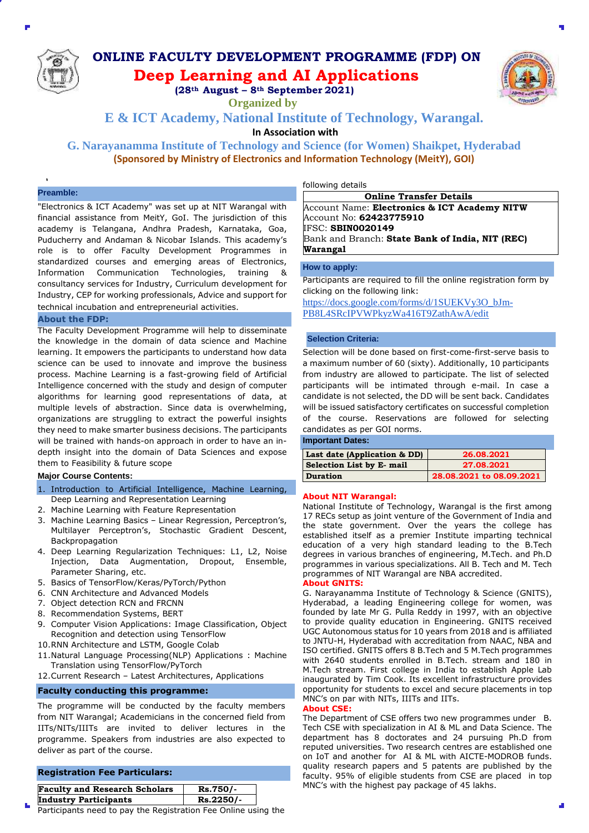

# **ONLINE FACULTY DEVELOPMENT PROGRAMME (FDP) ON Deep Learning and AI Applications**

**(28th August – 8th September 2021)**

**Organized by** 

**E & ICT Academy, National Institute of Technology, Warangal.**

**In Association with** 

**G. Narayanamma Institute of Technology and Science (for Women) Shaikpet, Hyderabad (Sponsored by Ministry of Electronics and Information Technology (MeitY), GOI)**

# **Preamble:**

"Electronics & ICT Academy" was set up at NIT Warangal with financial assistance from MeitY, GoI. The jurisdiction of this academy is Telangana, Andhra Pradesh, Karnataka, Goa, Puducherry and Andaman & Nicobar Islands. This academy's role is to offer Faculty Development Programmes in standardized courses and emerging areas of Electronics, Information Communication Technologies, training & consultancy services for Industry, Curriculum development for Industry, CEP for working professionals, Advice and support for technical incubation and entrepreneurial activities.

### **About the FDP:**

The Faculty Development Programme will help to disseminate the knowledge in the domain of data science and Machine learning. It empowers the participants to understand how data science can be used to innovate and improve the business process. Machine Learning is a fast-growing field of Artificial Intelligence concerned with the study and design of computer algorithms for learning good representations of data, at multiple levels of abstraction. Since data is overwhelming, organizations are struggling to extract the powerful insights they need to make smarter business decisions. The participants will be trained with hands-on approach in order to have an indepth insight into the domain of Data Sciences and expose them to Feasibility & future scope

# **Major Course Contents:**

- 1. Introduction to Artificial Intelligence, Machine Learning, Deep Learning and Representation Learning
- 2. Machine Learning with Feature Representation
- 3. Machine Learning Basics Linear Regression, Perceptron's, Multilayer Perceptron's, Stochastic Gradient Descent, Backpropagation
- 4. Deep Learning Regularization Techniques: L1, L2, Noise Injection, Data Augmentation, Dropout, Ensemble, Parameter Sharing, etc.
- 5. Basics of TensorFlow/Keras/PyTorch/Python
- 6. CNN Architecture and Advanced Models
- 7. Object detection RCN and FRCNN
- 8. Recommendation Systems, BERT
- 9. Computer Vision Applications: Image Classification, Object Recognition and detection using TensorFlow
- 10.RNN Architecture and LSTM, Google Colab
- 11.Natural Language Processing(NLP) Applications : Machine Translation using TensorFlow/PyTorch
- 12.Current Research Latest Architectures, Applications

#### **Faculty conducting this programme:**

The programme will be conducted by the faculty members from NIT Warangal; Academicians in the concerned field from IITs/NITs/IIITs are invited to deliver lectures in the programme. Speakers from industries are also expected to deliver as part of the course.

# **Registration Fee Particulars:**

| <b>Faculty and Research Scholars</b> | Rs.750/-  |
|--------------------------------------|-----------|
| <b>Industry Participants</b>         | Rs.2250/- |

Participants need to pay the Registration Fee Online using the

following details

**Online Transfer Details** Account Name: **Electronics & ICT Academy NITW** Account No: **62423775910** IFSC: **SBIN0020149** Bank and Branch: **State Bank of India, NIT (REC) Warangal** 

### **How to apply:**

Participants are required to fill the online registration form by clicking on the following link:

[https://docs.google.com/forms/d/1SUEKVy3O\\_bJm-](https://docs.google.com/forms/d/1SUEKVy3O_bJm-PB8L4SRcIPVWPkyzWa416T9ZathAwA/edit)[PB8L4SRcIPVWPkyzWa416T9ZathAwA/edit](https://docs.google.com/forms/d/1SUEKVy3O_bJm-PB8L4SRcIPVWPkyzWa416T9ZathAwA/edit) 

## **Selection Criteria:**

Selection will be done based on first-come-first-serve basis to a maximum number of 60 (sixty). Additionally, 10 participants from industry are allowed to participate. The list of selected participants will be intimated through e-mail. In case a candidate is not selected, the DD will be sent back. Candidates will be issued satisfactory certificates on successful completion of the course. Reservations are followed for selecting candidates as per GOI norms.

### **Important Dates:**

| Last date (Application & DD) | 26.08.2021               |
|------------------------------|--------------------------|
| Selection List by E- mail    | 27.08.2021               |
| <b>Duration</b>              | 28.08.2021 to 08.09.2021 |

### **About NIT Warangal:**

National Institute of Technology, Warangal is the first among 17 RECs setup as joint venture of the Government of India and the state government. Over the years the college has established itself as a premier Institute imparting technical education of a very high standard leading to the B.Tech degrees in various branches of engineering, M.Tech. and Ph.D programmes in various specializations. All B. Tech and M. Tech programmes of NIT Warangal are NBA accredited.

### **About GNITS:**

G. Narayanamma Institute of Technology & Science (GNITS), Hyderabad, a leading Engineering college for women, was founded by late Mr G. Pulla Reddy in 1997, with an objective to provide quality education in Engineering. GNITS received UGC Autonomous status for 10 years from 2018 and is affiliated to JNTU-H, Hyderabad with accreditation from NAAC, NBA and ISO certified. GNITS offers 8 B.Tech and 5 M.Tech programmes with 2640 students enrolled in B.Tech. stream and 180 in M.Tech stream. First college in India to establish Apple Lab inaugurated by Tim Cook. Its excellent infrastructure provides opportunity for students to excel and secure placements in top MNC's on par with NITs, IIITs and IITs.

#### **About CSE:**

The Department of CSE offers two new programmes under B. Tech CSE with specialization in AI & ML and Data Science. The department has 8 doctorates and 24 pursuing Ph.D from reputed universities. Two research centres are established one on IoT and another for AI & ML with AICTE-MODROB funds. quality research papers and 5 patents are published by the faculty. 95% of eligible students from CSE are placed in top MNC's with the highest pay package of 45 lakhs.